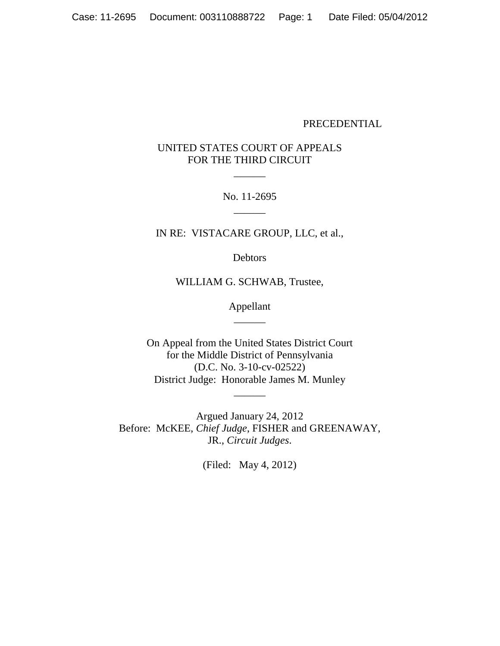### PRECEDENTIAL

# UNITED STATES COURT OF APPEALS FOR THE THIRD CIRCUIT

 $\overline{\phantom{a}}$ 

No. 11-2695  $\overline{\phantom{a}}$ 

IN RE: VISTACARE GROUP, LLC, et al.,

Debtors

WILLIAM G. SCHWAB, Trustee,

Appellant \_\_\_\_\_\_

On Appeal from the United States District Court for the Middle District of Pennsylvania (D.C. No. 3-10-cv-02522) District Judge: Honorable James M. Munley

\_\_\_\_\_\_

Argued January 24, 2012 Before: McKEE, *Chief Judge*, FISHER and GREENAWAY, JR., *Circuit Judges*.

(Filed: May 4, 2012)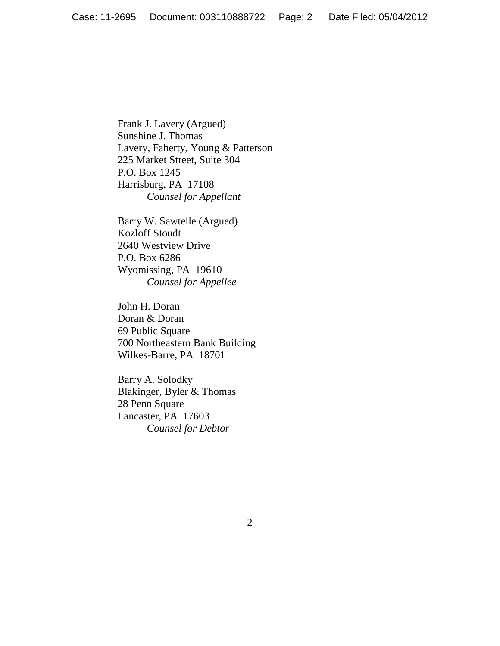Frank J. Lavery (Argued) Sunshine J. Thomas Lavery, Faherty, Young & Patterson 225 Market Street, Suite 304 P.O. Box 1245 Harrisburg, PA 17108 *Counsel for Appellant*

Barry W. Sawtelle (Argued) Kozloff Stoudt 2640 Westview Drive P.O. Box 6286 Wyomissing, PA 19610 *Counsel for Appellee*

John H. Doran Doran & Doran 69 Public Square 700 Northeastern Bank Building Wilkes-Barre, PA 18701

Barry A. Solodky Blakinger, Byler & Thomas 28 Penn Square Lancaster, PA 17603 *Counsel for Debtor*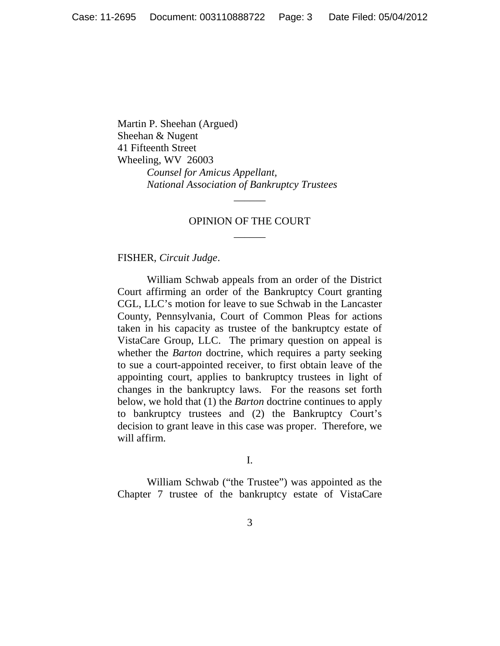Martin P. Sheehan (Argued) Sheehan & Nugent 41 Fifteenth Street Wheeling, WV 26003 *Counsel for Amicus Appellant, National Association of Bankruptcy Trustees*

# OPINION OF THE COURT \_\_\_\_\_\_

\_\_\_\_\_\_

FISHER, *Circuit Judge*.

William Schwab appeals from an order of the District Court affirming an order of the Bankruptcy Court granting CGL, LLC's motion for leave to sue Schwab in the Lancaster County, Pennsylvania, Court of Common Pleas for actions taken in his capacity as trustee of the bankruptcy estate of VistaCare Group, LLC. The primary question on appeal is whether the *Barton* doctrine, which requires a party seeking to sue a court-appointed receiver, to first obtain leave of the appointing court, applies to bankruptcy trustees in light of changes in the bankruptcy laws. For the reasons set forth below, we hold that (1) the *Barton* doctrine continues to apply to bankruptcy trustees and (2) the Bankruptcy Court's decision to grant leave in this case was proper. Therefore, we will affirm.

I.

William Schwab ("the Trustee") was appointed as the Chapter 7 trustee of the bankruptcy estate of VistaCare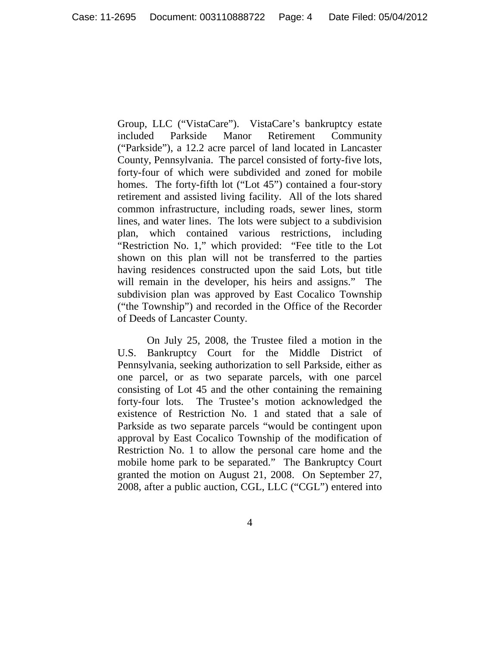Group, LLC ("VistaCare"). VistaCare's bankruptcy estate included Parkside Manor Retirement Community ("Parkside"), a 12.2 acre parcel of land located in Lancaster County, Pennsylvania. The parcel consisted of forty-five lots, forty-four of which were subdivided and zoned for mobile homes. The forty-fifth lot ("Lot 45") contained a four-story retirement and assisted living facility. All of the lots shared common infrastructure, including roads, sewer lines, storm lines, and water lines. The lots were subject to a subdivision plan, which contained various restrictions, including "Restriction No. 1," which provided: "Fee title to the Lot shown on this plan will not be transferred to the parties having residences constructed upon the said Lots, but title will remain in the developer, his heirs and assigns." The subdivision plan was approved by East Cocalico Township ("the Township") and recorded in the Office of the Recorder of Deeds of Lancaster County.

On July 25, 2008, the Trustee filed a motion in the U.S. Bankruptcy Court for the Middle District of Pennsylvania, seeking authorization to sell Parkside, either as one parcel, or as two separate parcels, with one parcel consisting of Lot 45 and the other containing the remaining forty-four lots. The Trustee's motion acknowledged the existence of Restriction No. 1 and stated that a sale of Parkside as two separate parcels "would be contingent upon approval by East Cocalico Township of the modification of Restriction No. 1 to allow the personal care home and the mobile home park to be separated." The Bankruptcy Court granted the motion on August 21, 2008. On September 27, 2008, after a public auction, CGL, LLC ("CGL") entered into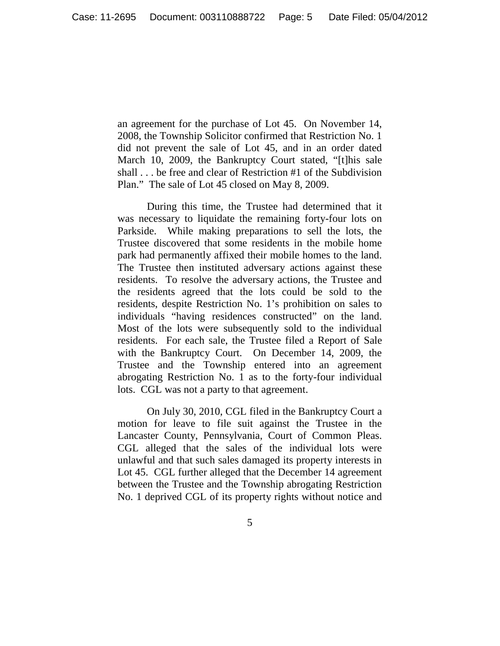an agreement for the purchase of Lot 45. On November 14, 2008, the Township Solicitor confirmed that Restriction No. 1 did not prevent the sale of Lot 45, and in an order dated March 10, 2009, the Bankruptcy Court stated, "[t]his sale shall . . . be free and clear of Restriction #1 of the Subdivision Plan." The sale of Lot 45 closed on May 8, 2009.

During this time, the Trustee had determined that it was necessary to liquidate the remaining forty-four lots on Parkside. While making preparations to sell the lots, the Trustee discovered that some residents in the mobile home park had permanently affixed their mobile homes to the land. The Trustee then instituted adversary actions against these residents. To resolve the adversary actions, the Trustee and the residents agreed that the lots could be sold to the residents, despite Restriction No. 1's prohibition on sales to individuals "having residences constructed" on the land. Most of the lots were subsequently sold to the individual residents. For each sale, the Trustee filed a Report of Sale with the Bankruptcy Court. On December 14, 2009, the Trustee and the Township entered into an agreement abrogating Restriction No. 1 as to the forty-four individual lots. CGL was not a party to that agreement.

On July 30, 2010, CGL filed in the Bankruptcy Court a motion for leave to file suit against the Trustee in the Lancaster County, Pennsylvania, Court of Common Pleas. CGL alleged that the sales of the individual lots were unlawful and that such sales damaged its property interests in Lot 45. CGL further alleged that the December 14 agreement between the Trustee and the Township abrogating Restriction No. 1 deprived CGL of its property rights without notice and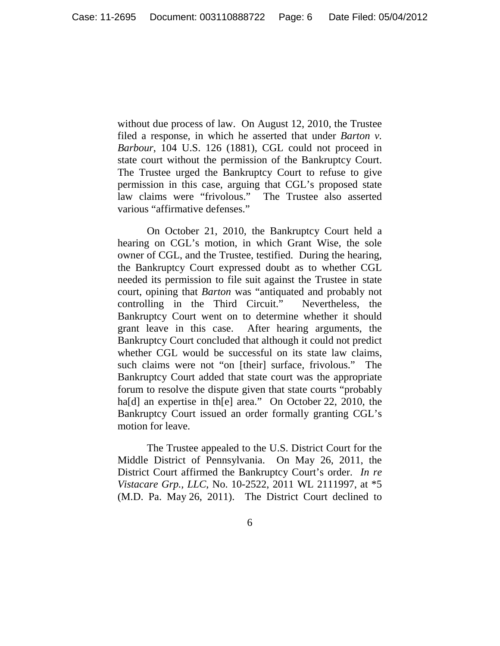without due process of law. On August 12, 2010, the Trustee filed a response, in which he asserted that under *Barton v. Barbour*, 104 U.S. 126 (1881), CGL could not proceed in state court without the permission of the Bankruptcy Court. The Trustee urged the Bankruptcy Court to refuse to give permission in this case, arguing that CGL's proposed state law claims were "frivolous." The Trustee also asserted various "affirmative defenses."

On October 21, 2010, the Bankruptcy Court held a hearing on CGL's motion, in which Grant Wise, the sole owner of CGL, and the Trustee, testified. During the hearing, the Bankruptcy Court expressed doubt as to whether CGL needed its permission to file suit against the Trustee in state court, opining that *Barton* was "antiquated and probably not controlling in the Third Circuit." Nevertheless, the Bankruptcy Court went on to determine whether it should grant leave in this case. After hearing arguments, the Bankruptcy Court concluded that although it could not predict whether CGL would be successful on its state law claims, such claims were not "on [their] surface, frivolous." The Bankruptcy Court added that state court was the appropriate forum to resolve the dispute given that state courts "probably ha<sup>[d]</sup> an expertise in th<sup>[e]</sup> area." On October 22, 2010, the Bankruptcy Court issued an order formally granting CGL's motion for leave.

The Trustee appealed to the U.S. District Court for the Middle District of Pennsylvania. On May 26, 2011, the District Court affirmed the Bankruptcy Court's order. *In re Vistacare Grp., LLC*, No. 10-2522, 2011 WL 2111997, at \*5 (M.D. Pa. May 26, 2011). The District Court declined to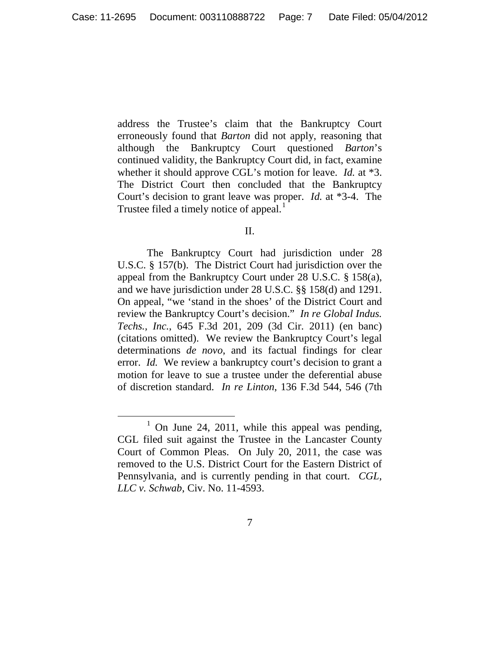address the Trustee's claim that the Bankruptcy Court erroneously found that *Barton* did not apply, reasoning that although the Bankruptcy Court questioned *Barton*'s continued validity, the Bankruptcy Court did, in fact, examine whether it should approve CGL's motion for leave. *Id.* at \*3. The District Court then concluded that the Bankruptcy Court's decision to grant leave was proper. *Id.* at \*3-4. The Trustee filed a timely notice of appeal.<sup>[1](#page-6-0)</sup>

#### II.

The Bankruptcy Court had jurisdiction under 28 U.S.C. § 157(b). The District Court had jurisdiction over the appeal from the Bankruptcy Court under 28 U.S.C. § 158(a), and we have jurisdiction under 28 U.S.C. §§ 158(d) and 1291. On appeal, "we 'stand in the shoes' of the District Court and review the Bankruptcy Court's decision." *In re Global Indus. Techs., Inc.*, 645 F.3d 201, 209 (3d Cir. 2011) (en banc) (citations omitted). We review the Bankruptcy Court's legal determinations *de novo*, and its factual findings for clear error. *Id.* We review a bankruptcy court's decision to grant a motion for leave to sue a trustee under the deferential abuse of discretion standard. *In re Linton*, 136 F.3d 544, 546 (7th

<span id="page-6-0"></span> $1$  On June 24, 2011, while this appeal was pending, CGL filed suit against the Trustee in the Lancaster County Court of Common Pleas. On July 20, 2011, the case was removed to the U.S. District Court for the Eastern District of Pennsylvania, and is currently pending in that court. *CGL, LLC v. Schwab*, Civ. No. 11-4593.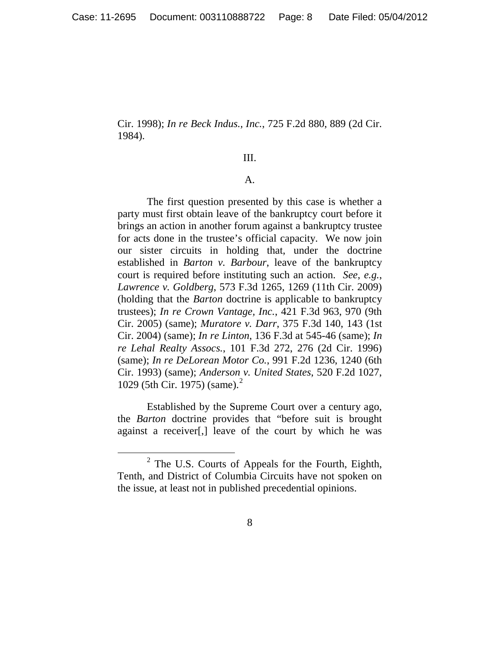Cir. 1998); *In re Beck Indus., Inc.*, 725 F.2d 880, 889 (2d Cir. 1984).

## III.

#### A.

The first question presented by this case is whether a party must first obtain leave of the bankruptcy court before it brings an action in another forum against a bankruptcy trustee for acts done in the trustee's official capacity. We now join our sister circuits in holding that, under the doctrine established in *Barton v. Barbour*, leave of the bankruptcy court is required before instituting such an action. *See*, *e.g.*, *Lawrence v. Goldberg*, 573 F.3d 1265, 1269 (11th Cir. 2009) (holding that the *Barton* doctrine is applicable to bankruptcy trustees); *In re Crown Vantage, Inc.*, 421 F.3d 963, 970 (9th Cir. 2005) (same); *Muratore v. Darr*, 375 F.3d 140, 143 (1st Cir. 2004) (same); *In re Linton*, 136 F.3d at 545-46 (same); *In re Lehal Realty Assocs.*, 101 F.3d 272, 276 (2d Cir. 1996) (same); *In re DeLorean Motor Co.*, 991 F.2d 1236, 1240 (6th Cir. 1993) (same); *Anderson v. United States*, 520 F.2d 1027, 10[2](#page-7-0)9 (5th Cir. 1975) (same).<sup>2</sup>

Established by the Supreme Court over a century ago, the *Barton* doctrine provides that "before suit is brought against a receiver[,] leave of the court by which he was

<span id="page-7-0"></span> <sup>2</sup> The U.S. Courts of Appeals for the Fourth, Eighth, Tenth, and District of Columbia Circuits have not spoken on the issue, at least not in published precedential opinions.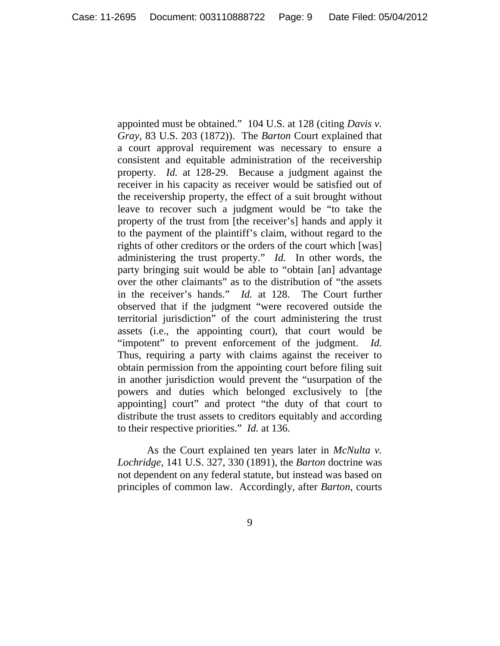appointed must be obtained." 104 U.S. at 128 (citing *Davis v. Gray*, 83 U.S. 203 (1872)). The *Barton* Court explained that a court approval requirement was necessary to ensure a consistent and equitable administration of the receivership property. *Id.* at 128-29. Because a judgment against the receiver in his capacity as receiver would be satisfied out of the receivership property, the effect of a suit brought without leave to recover such a judgment would be "to take the property of the trust from [the receiver's] hands and apply it to the payment of the plaintiff's claim, without regard to the rights of other creditors or the orders of the court which [was] administering the trust property." *Id.* In other words, the party bringing suit would be able to "obtain [an] advantage over the other claimants" as to the distribution of "the assets in the receiver's hands." *Id.* at 128. The Court further observed that if the judgment "were recovered outside the territorial jurisdiction" of the court administering the trust assets (i.e., the appointing court), that court would be "impotent" to prevent enforcement of the judgment. *Id.* Thus, requiring a party with claims against the receiver to obtain permission from the appointing court before filing suit in another jurisdiction would prevent the "usurpation of the powers and duties which belonged exclusively to [the appointing] court" and protect "the duty of that court to distribute the trust assets to creditors equitably and according to their respective priorities." *Id.* at 136.

As the Court explained ten years later in *McNulta v. Lochridge*, 141 U.S. 327, 330 (1891), the *Barton* doctrine was not dependent on any federal statute, but instead was based on principles of common law. Accordingly, after *Barton*, courts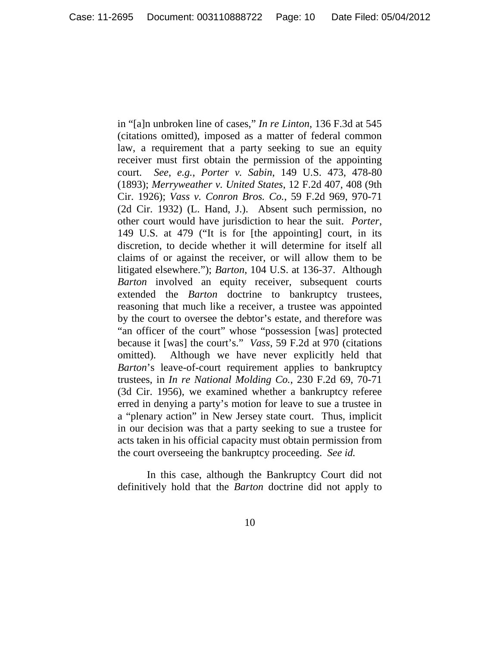in "[a]n unbroken line of cases," *In re Linton*, 136 F.3d at 545 (citations omitted), imposed as a matter of federal common law, a requirement that a party seeking to sue an equity receiver must first obtain the permission of the appointing court. *See*, *e.g.*, *Porter v. Sabin*, 149 U.S. 473, 478-80 (1893); *Merryweather v. United States*, 12 F.2d 407, 408 (9th Cir. 1926); *Vass v. Conron Bros. Co.*, 59 F.2d 969, 970-71 (2d Cir. 1932) (L. Hand, J.). Absent such permission, no other court would have jurisdiction to hear the suit. *Porter*, 149 U.S. at 479 ("It is for [the appointing] court, in its discretion, to decide whether it will determine for itself all claims of or against the receiver, or will allow them to be litigated elsewhere."); *Barton*, 104 U.S. at 136-37. Although *Barton* involved an equity receiver, subsequent courts extended the *Barton* doctrine to bankruptcy trustees, reasoning that much like a receiver, a trustee was appointed by the court to oversee the debtor's estate, and therefore was "an officer of the court" whose "possession [was] protected because it [was] the court's." *Vass*, 59 F.2d at 970 (citations omitted). Although we have never explicitly held that *Barton*'s leave-of-court requirement applies to bankruptcy trustees, in *In re National Molding Co.*, 230 F.2d 69, 70-71 (3d Cir. 1956), we examined whether a bankruptcy referee erred in denying a party's motion for leave to sue a trustee in a "plenary action" in New Jersey state court. Thus, implicit in our decision was that a party seeking to sue a trustee for acts taken in his official capacity must obtain permission from the court overseeing the bankruptcy proceeding. *See id.*

In this case, although the Bankruptcy Court did not definitively hold that the *Barton* doctrine did not apply to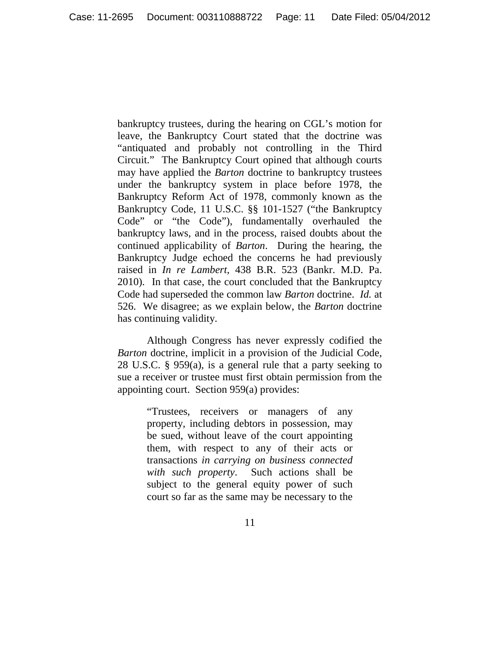bankruptcy trustees, during the hearing on CGL's motion for leave, the Bankruptcy Court stated that the doctrine was "antiquated and probably not controlling in the Third Circuit." The Bankruptcy Court opined that although courts may have applied the *Barton* doctrine to bankruptcy trustees under the bankruptcy system in place before 1978, the Bankruptcy Reform Act of 1978, commonly known as the Bankruptcy Code, 11 U.S.C. §§ 101-1527 ("the Bankruptcy Code" or "the Code"), fundamentally overhauled the bankruptcy laws, and in the process, raised doubts about the continued applicability of *Barton*. During the hearing, the Bankruptcy Judge echoed the concerns he had previously raised in *In re Lambert*, 438 B.R. 523 (Bankr. M.D. Pa. 2010). In that case, the court concluded that the Bankruptcy Code had superseded the common law *Barton* doctrine. *Id.* at 526. We disagree; as we explain below, the *Barton* doctrine has continuing validity.

Although Congress has never expressly codified the *Barton* doctrine, implicit in a provision of the Judicial Code, 28 U.S.C. § 959(a), is a general rule that a party seeking to sue a receiver or trustee must first obtain permission from the appointing court. Section 959(a) provides:

> "Trustees, receivers or managers of any property, including debtors in possession, may be sued, without leave of the court appointing them, with respect to any of their acts or transactions *in carrying on business connected with such property*. Such actions shall be subject to the general equity power of such court so far as the same may be necessary to the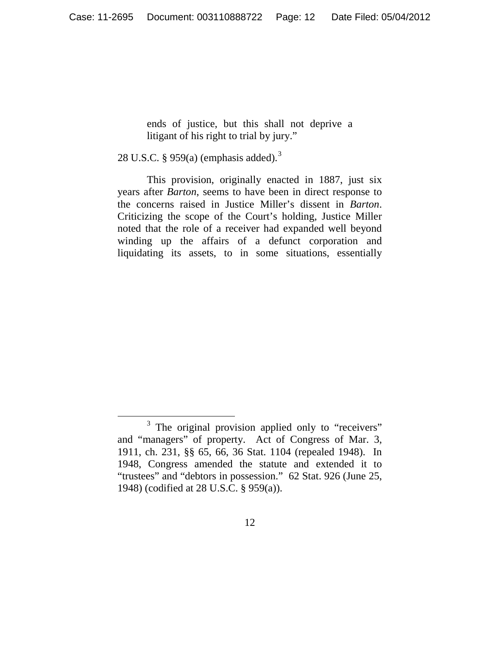ends of justice, but this shall not deprive a litigant of his right to trial by jury."

28 U.S.C. § 959(a) (emphasis added).<sup>[3](#page-11-0)</sup>

This provision, originally enacted in 1887, just six years after *Barton*, seems to have been in direct response to the concerns raised in Justice Miller's dissent in *Barton*. Criticizing the scope of the Court's holding, Justice Miller noted that the role of a receiver had expanded well beyond winding up the affairs of a defunct corporation and liquidating its assets, to in some situations, essentially

<span id="page-11-0"></span><sup>&</sup>lt;sup>3</sup> The original provision applied only to "receivers" and "managers" of property. Act of Congress of Mar. 3, 1911, ch. 231, §§ 65, 66, 36 Stat. 1104 (repealed 1948). In 1948, Congress amended the statute and extended it to "trustees" and "debtors in possession." 62 Stat. 926 (June 25, 1948) (codified at 28 U.S.C. § 959(a)).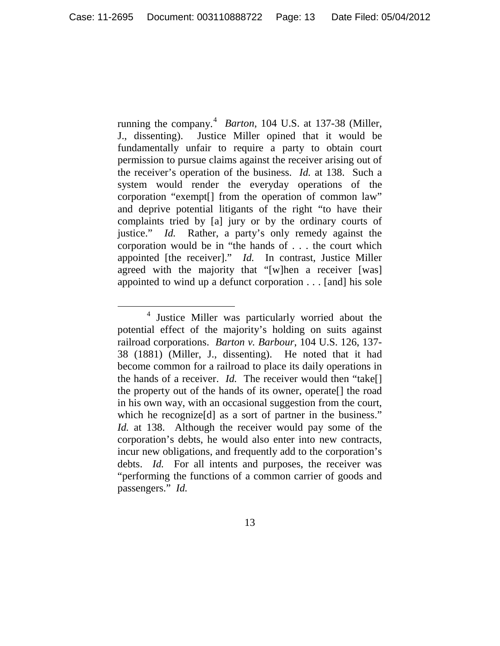running the company.<sup>[4](#page-12-0)</sup> *Barton*, 104 U.S. at 137-38 (Miller, J., dissenting). Justice Miller opined that it would be fundamentally unfair to require a party to obtain court permission to pursue claims against the receiver arising out of the receiver's operation of the business. *Id.* at 138. Such a system would render the everyday operations of the corporation "exempt[] from the operation of common law" and deprive potential litigants of the right "to have their complaints tried by [a] jury or by the ordinary courts of justice." *Id.* Rather, a party's only remedy against the corporation would be in "the hands of . . . the court which appointed [the receiver]." *Id.* In contrast, Justice Miller agreed with the majority that "[w]hen a receiver [was] appointed to wind up a defunct corporation . . . [and] his sole

<span id="page-12-0"></span> <sup>4</sup> Justice Miller was particularly worried about the potential effect of the majority's holding on suits against railroad corporations. *Barton v. Barbour*, 104 U.S. 126, 137- 38 (1881) (Miller, J., dissenting). He noted that it had become common for a railroad to place its daily operations in the hands of a receiver. *Id.* The receiver would then "take[] the property out of the hands of its owner, operate[] the road in his own way, with an occasional suggestion from the court, which he recognize<sup>[d]</sup> as a sort of partner in the business." *Id.* at 138. Although the receiver would pay some of the corporation's debts, he would also enter into new contracts, incur new obligations, and frequently add to the corporation's debts. *Id.* For all intents and purposes, the receiver was "performing the functions of a common carrier of goods and passengers." *Id.*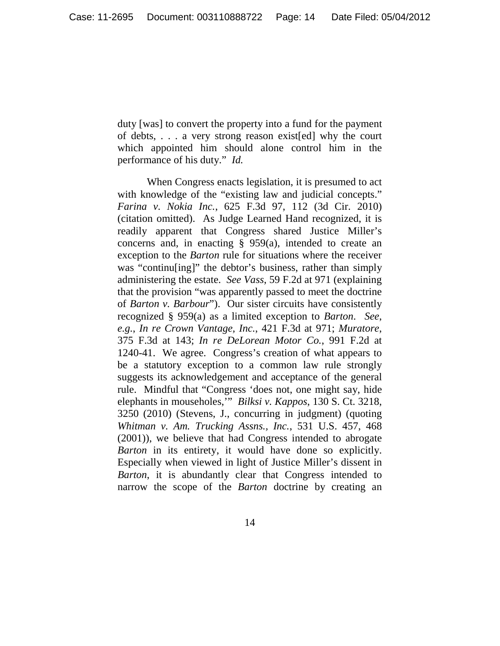duty [was] to convert the property into a fund for the payment of debts, . . . a very strong reason exist[ed] why the court which appointed him should alone control him in the performance of his duty." *Id.*

When Congress enacts legislation, it is presumed to act with knowledge of the "existing law and judicial concepts." *Farina v. Nokia Inc.*, 625 F.3d 97, 112 (3d Cir. 2010) (citation omitted). As Judge Learned Hand recognized, it is readily apparent that Congress shared Justice Miller's concerns and, in enacting  $\S$  959(a), intended to create an exception to the *Barton* rule for situations where the receiver was "continu[ing]" the debtor's business, rather than simply administering the estate. *See Vass*, 59 F.2d at 971 (explaining that the provision "was apparently passed to meet the doctrine of *Barton v. Barbour*"). Our sister circuits have consistently recognized § 959(a) as a limited exception to *Barton*. *See*, *e.g.*, *In re Crown Vantage, Inc.*, 421 F.3d at 971; *Muratore*, 375 F.3d at 143; *In re DeLorean Motor Co.*, 991 F.2d at 1240-41. We agree. Congress's creation of what appears to be a statutory exception to a common law rule strongly suggests its acknowledgement and acceptance of the general rule. Mindful that "Congress 'does not, one might say, hide elephants in mouseholes,'" *Bilksi v. Kappos*, 130 S. Ct. 3218, 3250 (2010) (Stevens, J., concurring in judgment) (quoting *Whitman v. Am. Trucking Assns., Inc.*, 531 U.S. 457, 468 (2001)), we believe that had Congress intended to abrogate *Barton* in its entirety, it would have done so explicitly. Especially when viewed in light of Justice Miller's dissent in *Barton*, it is abundantly clear that Congress intended to narrow the scope of the *Barton* doctrine by creating an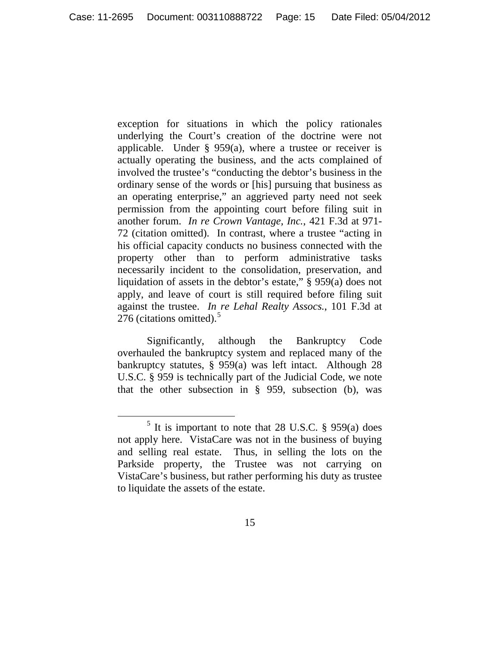exception for situations in which the policy rationales underlying the Court's creation of the doctrine were not applicable. Under  $\S$  959(a), where a trustee or receiver is actually operating the business, and the acts complained of involved the trustee's "conducting the debtor's business in the ordinary sense of the words or [his] pursuing that business as an operating enterprise," an aggrieved party need not seek permission from the appointing court before filing suit in another forum. *In re Crown Vantage, Inc.*, 421 F.3d at 971- 72 (citation omitted). In contrast, where a trustee "acting in his official capacity conducts no business connected with the property other than to perform administrative tasks necessarily incident to the consolidation, preservation, and liquidation of assets in the debtor's estate," § 959(a) does not apply, and leave of court is still required before filing suit against the trustee. *In re Lehal Realty Assocs.*, 101 F.3d at 276 (citations omitted). $5$ 

Significantly, although the Bankruptcy Code overhauled the bankruptcy system and replaced many of the bankruptcy statutes, § 959(a) was left intact. Although 28 U.S.C. § 959 is technically part of the Judicial Code, we note that the other subsection in § 959, subsection (b), was

<span id="page-14-0"></span> $<sup>5</sup>$  It is important to note that 28 U.S.C. § 959(a) does</sup> not apply here. VistaCare was not in the business of buying and selling real estate. Thus, in selling the lots on the Parkside property, the Trustee was not carrying on VistaCare's business, but rather performing his duty as trustee to liquidate the assets of the estate.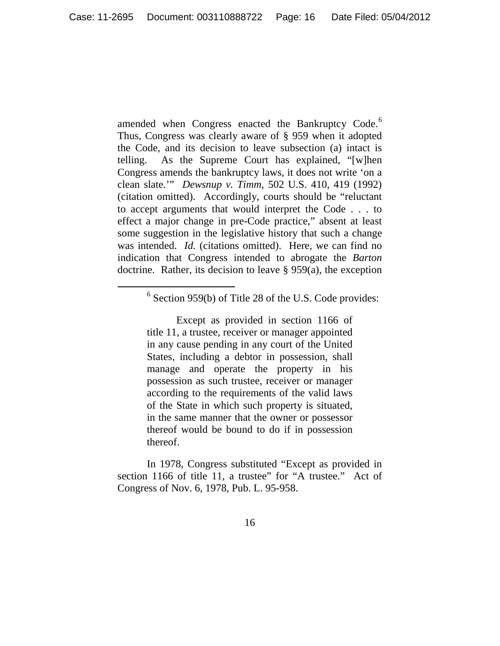amended when Congress enacted the Bankruptcy Code.<sup>[6](#page-15-0)</sup> Thus, Congress was clearly aware of § 959 when it adopted the Code, and its decision to leave subsection (a) intact is telling. As the Supreme Court has explained, "[w]hen Congress amends the bankruptcy laws, it does not write 'on a clean slate.'" *Dewsnup v. Timm*, 502 U.S. 410, 419 (1992) (citation omitted). Accordingly, courts should be "reluctant to accept arguments that would interpret the Code . . . to effect a major change in pre-Code practice," absent at least some suggestion in the legislative history that such a change was intended. *Id.* (citations omitted). Here, we can find no indication that Congress intended to abrogate the *Barton* doctrine. Rather, its decision to leave § 959(a), the exception

# <span id="page-15-0"></span>6 Section 959(b) of Title 28 of the U.S. Code provides:

Except as provided in section 1166 of title 11, a trustee, receiver or manager appointed in any cause pending in any court of the United States, including a debtor in possession, shall manage and operate the property in his possession as such trustee, receiver or manager according to the requirements of the valid laws of the State in which such property is situated, in the same manner that the owner or possessor thereof would be bound to do if in possession thereof.

In 1978, Congress substituted "Except as provided in section 1166 of title 11, a trustee" for "A trustee." Act of Congress of Nov. 6, 1978, Pub. L. 95-958.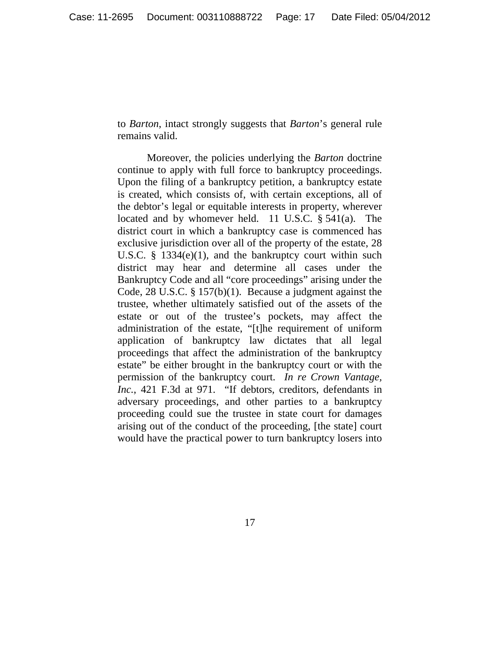to *Barton*, intact strongly suggests that *Barton*'s general rule remains valid.

Moreover, the policies underlying the *Barton* doctrine continue to apply with full force to bankruptcy proceedings. Upon the filing of a bankruptcy petition, a bankruptcy estate is created, which consists of, with certain exceptions, all of the debtor's legal or equitable interests in property, wherever located and by whomever held. 11 U.S.C. § 541(a). The district court in which a bankruptcy case is commenced has exclusive jurisdiction over all of the property of the estate, 28 U.S.C. § 1334(e)(1), and the bankruptcy court within such district may hear and determine all cases under the Bankruptcy Code and all "core proceedings" arising under the Code, 28 U.S.C. § 157(b)(1). Because a judgment against the trustee, whether ultimately satisfied out of the assets of the estate or out of the trustee's pockets, may affect the administration of the estate, "[t]he requirement of uniform application of bankruptcy law dictates that all legal proceedings that affect the administration of the bankruptcy estate" be either brought in the bankruptcy court or with the permission of the bankruptcy court. *In re Crown Vantage, Inc.*, 421 F.3d at 971. "If debtors, creditors, defendants in adversary proceedings, and other parties to a bankruptcy proceeding could sue the trustee in state court for damages arising out of the conduct of the proceeding, [the state] court would have the practical power to turn bankruptcy losers into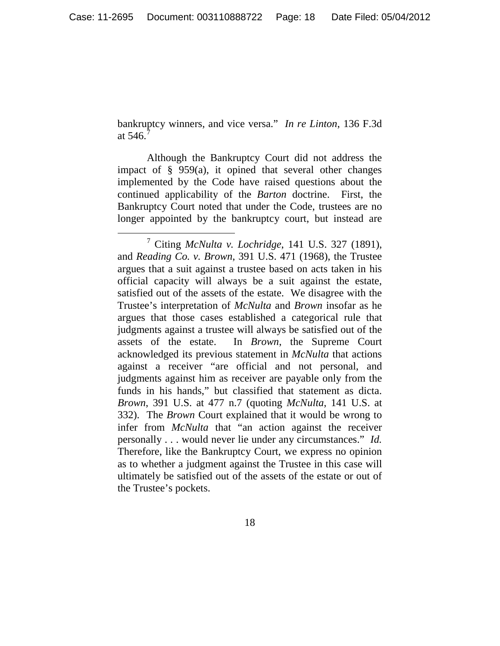bankruptcy winners, and vice versa." *In re Linton*, 136 F.3d at  $546.7$  $546.7$ 

Although the Bankruptcy Court did not address the impact of  $\S$  959(a), it opined that several other changes implemented by the Code have raised questions about the continued applicability of the *Barton* doctrine. First, the Bankruptcy Court noted that under the Code, trustees are no longer appointed by the bankruptcy court, but instead are

<span id="page-17-0"></span> <sup>7</sup> Citing *McNulta v. Lochridge*, 141 U.S. 327 (1891), and *Reading Co. v. Brown*, 391 U.S. 471 (1968), the Trustee argues that a suit against a trustee based on acts taken in his official capacity will always be a suit against the estate, satisfied out of the assets of the estate. We disagree with the Trustee's interpretation of *McNulta* and *Brown* insofar as he argues that those cases established a categorical rule that judgments against a trustee will always be satisfied out of the assets of the estate. In *Brown*, the Supreme Court acknowledged its previous statement in *McNulta* that actions against a receiver "are official and not personal, and judgments against him as receiver are payable only from the funds in his hands," but classified that statement as dicta. *Brown*, 391 U.S. at 477 n.7 (quoting *McNulta*, 141 U.S. at 332). The *Brown* Court explained that it would be wrong to infer from *McNulta* that "an action against the receiver personally . . . would never lie under any circumstances." *Id.* Therefore, like the Bankruptcy Court, we express no opinion as to whether a judgment against the Trustee in this case will ultimately be satisfied out of the assets of the estate or out of the Trustee's pockets.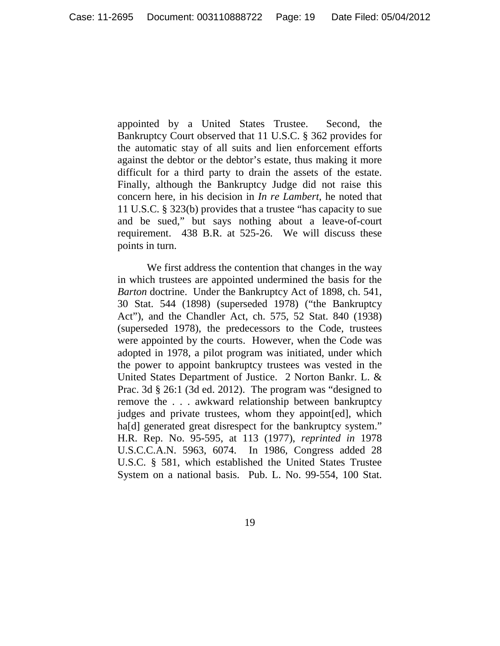appointed by a United States Trustee. Second, the Bankruptcy Court observed that 11 U.S.C. § 362 provides for the automatic stay of all suits and lien enforcement efforts against the debtor or the debtor's estate, thus making it more difficult for a third party to drain the assets of the estate. Finally, although the Bankruptcy Judge did not raise this concern here, in his decision in *In re Lambert*, he noted that 11 U.S.C. § 323(b) provides that a trustee "has capacity to sue and be sued," but says nothing about a leave-of-court requirement. 438 B.R. at 525-26. We will discuss these points in turn.

We first address the contention that changes in the way in which trustees are appointed undermined the basis for the *Barton* doctrine. Under the Bankruptcy Act of 1898, ch. 541, 30 Stat. 544 (1898) (superseded 1978) ("the Bankruptcy Act"), and the Chandler Act, ch. 575, 52 Stat. 840 (1938) (superseded 1978), the predecessors to the Code, trustees were appointed by the courts. However, when the Code was adopted in 1978, a pilot program was initiated, under which the power to appoint bankruptcy trustees was vested in the United States Department of Justice. 2 Norton Bankr. L. & Prac. 3d § 26:1 (3d ed. 2012). The program was "designed to remove the . . . awkward relationship between bankruptcy judges and private trustees, whom they appoint[ed], which ha<sup>[d]</sup> generated great disrespect for the bankruptcy system." H.R. Rep. No. 95-595, at 113 (1977), *reprinted in* 1978 U.S.C.C.A.N. 5963, 6074. In 1986, Congress added 28 U.S.C. § 581, which established the United States Trustee System on a national basis. Pub. L. No. 99-554, 100 Stat.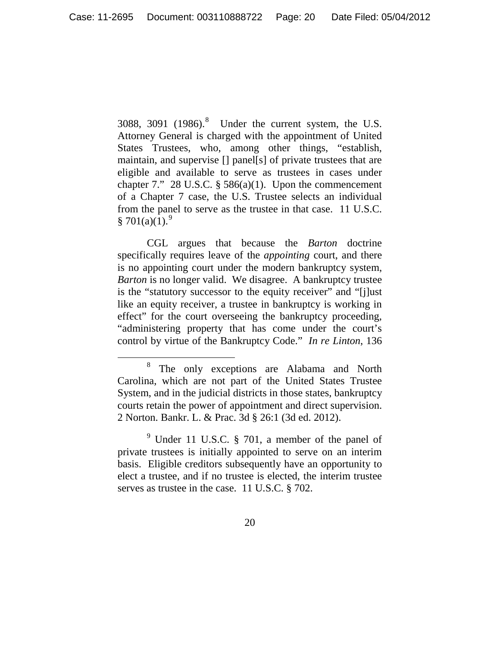30[8](#page-19-0)8, 3091  $(1986)^8$  Under the current system, the U.S. Attorney General is charged with the appointment of United States Trustees, who, among other things, "establish, maintain, and supervise [] panel[s] of private trustees that are eligible and available to serve as trustees in cases under chapter 7." 28 U.S.C.  $\S 586(a)(1)$ . Upon the commencement of a Chapter 7 case, the U.S. Trustee selects an individual from the panel to serve as the trustee in that case. 11 U.S.C.  $§ 701(a)(1).<sup>9</sup>$  $§ 701(a)(1).<sup>9</sup>$  $§ 701(a)(1).<sup>9</sup>$ 

CGL argues that because the *Barton* doctrine specifically requires leave of the *appointing* court, and there is no appointing court under the modern bankruptcy system, *Barton* is no longer valid. We disagree. A bankruptcy trustee is the "statutory successor to the equity receiver" and "[j]ust like an equity receiver, a trustee in bankruptcy is working in effect" for the court overseeing the bankruptcy proceeding, "administering property that has come under the court's control by virtue of the Bankruptcy Code." *In re Linton*, 136

<span id="page-19-0"></span> <sup>8</sup> The only exceptions are Alabama and North Carolina, which are not part of the United States Trustee System, and in the judicial districts in those states, bankruptcy courts retain the power of appointment and direct supervision. 2 Norton. Bankr. L. & Prac. 3d § 26:1 (3d ed. 2012).

<span id="page-19-1"></span> $9$  Under 11 U.S.C. § 701, a member of the panel of private trustees is initially appointed to serve on an interim basis. Eligible creditors subsequently have an opportunity to elect a trustee, and if no trustee is elected, the interim trustee serves as trustee in the case. 11 U.S.C. § 702.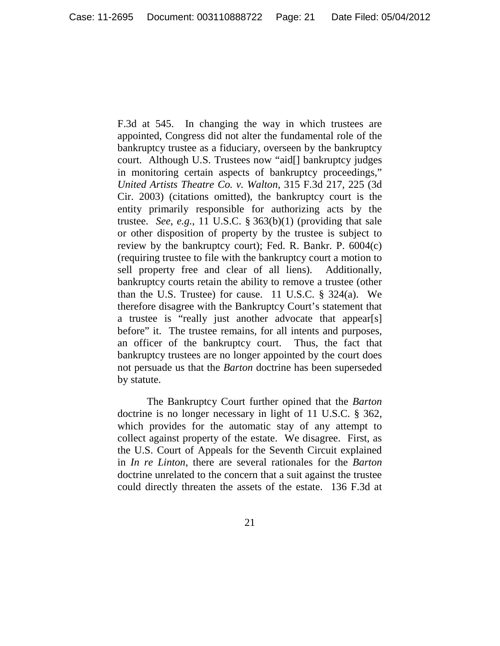F.3d at 545. In changing the way in which trustees are appointed, Congress did not alter the fundamental role of the bankruptcy trustee as a fiduciary, overseen by the bankruptcy court. Although U.S. Trustees now "aid[] bankruptcy judges in monitoring certain aspects of bankruptcy proceedings," *United Artists Theatre Co. v. Walton*, 315 F.3d 217, 225 (3d Cir. 2003) (citations omitted), the bankruptcy court is the entity primarily responsible for authorizing acts by the trustee. *See*, *e.g.*, 11 U.S.C. § 363(b)(1) (providing that sale or other disposition of property by the trustee is subject to review by the bankruptcy court); Fed. R. Bankr. P. 6004(c) (requiring trustee to file with the bankruptcy court a motion to sell property free and clear of all liens). Additionally, bankruptcy courts retain the ability to remove a trustee (other than the U.S. Trustee) for cause. 11 U.S.C.  $\S$  324(a). We therefore disagree with the Bankruptcy Court's statement that a trustee is "really just another advocate that appear[s] before" it. The trustee remains, for all intents and purposes, an officer of the bankruptcy court. Thus, the fact that bankruptcy trustees are no longer appointed by the court does not persuade us that the *Barton* doctrine has been superseded by statute.

The Bankruptcy Court further opined that the *Barton* doctrine is no longer necessary in light of 11 U.S.C. § 362, which provides for the automatic stay of any attempt to collect against property of the estate. We disagree. First, as the U.S. Court of Appeals for the Seventh Circuit explained in *In re Linton*, there are several rationales for the *Barton* doctrine unrelated to the concern that a suit against the trustee could directly threaten the assets of the estate. 136 F.3d at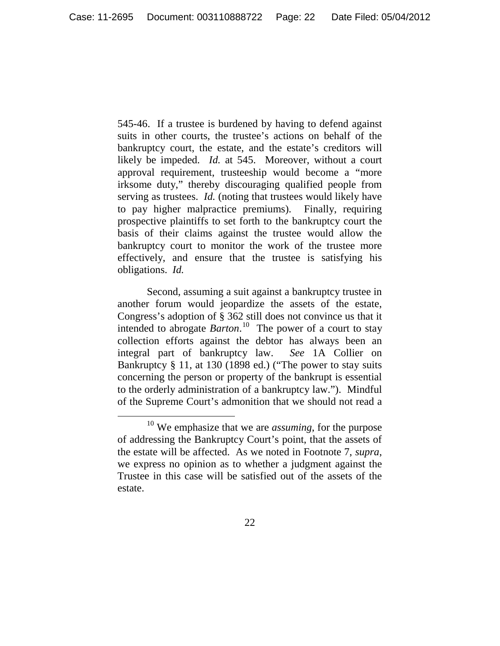545-46. If a trustee is burdened by having to defend against suits in other courts, the trustee's actions on behalf of the bankruptcy court, the estate, and the estate's creditors will likely be impeded. *Id.* at 545. Moreover, without a court approval requirement, trusteeship would become a "more irksome duty," thereby discouraging qualified people from serving as trustees. *Id.* (noting that trustees would likely have to pay higher malpractice premiums). Finally, requiring prospective plaintiffs to set forth to the bankruptcy court the basis of their claims against the trustee would allow the bankruptcy court to monitor the work of the trustee more effectively, and ensure that the trustee is satisfying his obligations. *Id.*

Second, assuming a suit against a bankruptcy trustee in another forum would jeopardize the assets of the estate, Congress's adoption of § 362 still does not convince us that it intended to abrogate *Barton*. [10](#page-21-0) The power of a court to stay collection efforts against the debtor has always been an integral part of bankruptcy law. *See* 1A Collier on Bankruptcy § 11, at 130 (1898 ed.) ("The power to stay suits concerning the person or property of the bankrupt is essential to the orderly administration of a bankruptcy law."). Mindful of the Supreme Court's admonition that we should not read a

22

<span id="page-21-0"></span> <sup>10</sup> We emphasize that we are *assuming*, for the purpose of addressing the Bankruptcy Court's point, that the assets of the estate will be affected. As we noted in Footnote 7, *supra*, we express no opinion as to whether a judgment against the Trustee in this case will be satisfied out of the assets of the estate.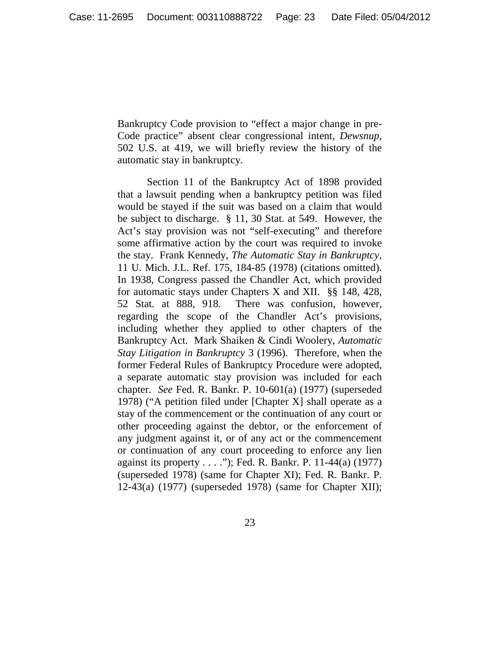Bankruptcy Code provision to "effect a major change in pre-Code practice" absent clear congressional intent, *Dewsnup*, 502 U.S. at 419, we will briefly review the history of the automatic stay in bankruptcy.

Section 11 of the Bankruptcy Act of 1898 provided that a lawsuit pending when a bankruptcy petition was filed would be stayed if the suit was based on a claim that would be subject to discharge. § 11, 30 Stat. at 549. However, the Act's stay provision was not "self-executing" and therefore some affirmative action by the court was required to invoke the stay. Frank Kennedy, *The Automatic Stay in Bankruptcy*, 11 U. Mich. J.L. Ref. 175, 184-85 (1978) (citations omitted). In 1938, Congress passed the Chandler Act, which provided for automatic stays under Chapters X and XII. §§ 148, 428, 52 Stat. at 888, 918. There was confusion, however, regarding the scope of the Chandler Act's provisions, including whether they applied to other chapters of the Bankruptcy Act. Mark Shaiken & Cindi Woolery, *Automatic Stay Litigation in Bankruptcy* 3 (1996). Therefore, when the former Federal Rules of Bankruptcy Procedure were adopted, a separate automatic stay provision was included for each chapter. *See* Fed. R. Bankr. P. 10-601(a) (1977) (superseded 1978) ("A petition filed under [Chapter X] shall operate as a stay of the commencement or the continuation of any court or other proceeding against the debtor, or the enforcement of any judgment against it, or of any act or the commencement or continuation of any court proceeding to enforce any lien against its property . . . ."); Fed. R. Bankr. P. 11-44(a) (1977) (superseded 1978) (same for Chapter XI); Fed. R. Bankr. P. 12-43(a) (1977) (superseded 1978) (same for Chapter XII);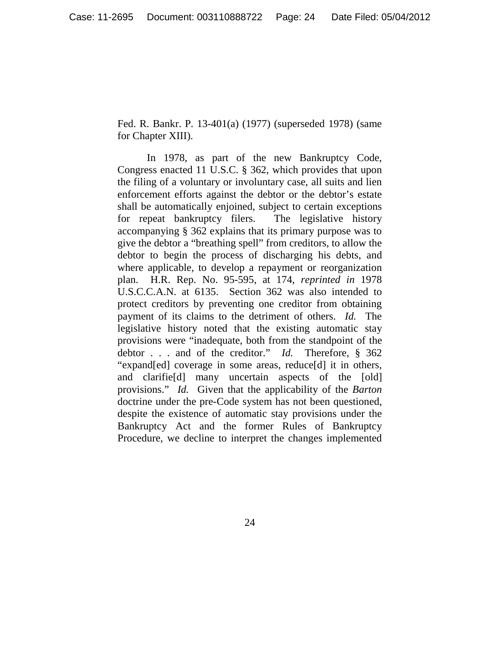Fed. R. Bankr. P. 13-401(a) (1977) (superseded 1978) (same for Chapter XIII).

In 1978, as part of the new Bankruptcy Code, Congress enacted 11 U.S.C. § 362, which provides that upon the filing of a voluntary or involuntary case, all suits and lien enforcement efforts against the debtor or the debtor's estate shall be automatically enjoined, subject to certain exceptions for repeat bankruptcy filers. The legislative history accompanying § 362 explains that its primary purpose was to give the debtor a "breathing spell" from creditors, to allow the debtor to begin the process of discharging his debts, and where applicable, to develop a repayment or reorganization plan. H.R. Rep. No. 95-595, at 174, *reprinted in* 1978 U.S.C.C.A.N. at 6135. Section 362 was also intended to protect creditors by preventing one creditor from obtaining payment of its claims to the detriment of others. *Id.* The legislative history noted that the existing automatic stay provisions were "inadequate, both from the standpoint of the debtor . . . and of the creditor." *Id.* Therefore, § 362 "expand[ed] coverage in some areas, reduce[d] it in others, and clarifie[d] many uncertain aspects of the [old] provisions." *Id.* Given that the applicability of the *Barton* doctrine under the pre-Code system has not been questioned, despite the existence of automatic stay provisions under the Bankruptcy Act and the former Rules of Bankruptcy Procedure, we decline to interpret the changes implemented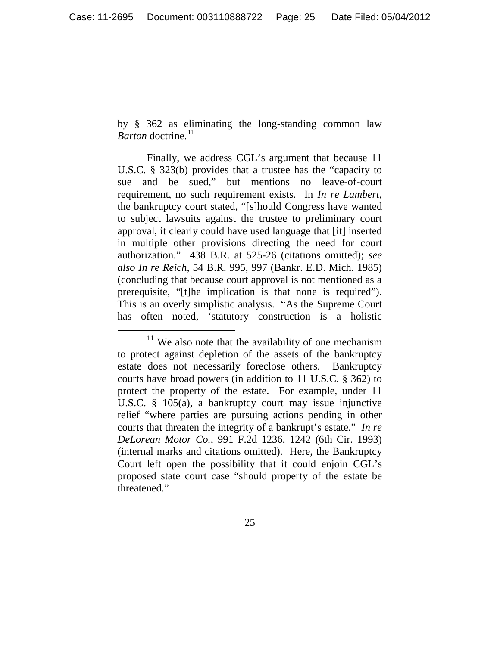by § 362 as eliminating the long-standing common law *Barton* doctrine.<sup>[11](#page-24-0)</sup>

Finally, we address CGL's argument that because 11 U.S.C. § 323(b) provides that a trustee has the "capacity to sue and be sued," but mentions no leave-of-court requirement, no such requirement exists. In *In re Lambert*, the bankruptcy court stated, "[s]hould Congress have wanted to subject lawsuits against the trustee to preliminary court approval, it clearly could have used language that [it] inserted in multiple other provisions directing the need for court authorization." 438 B.R. at 525-26 (citations omitted); *see also In re Reich*, 54 B.R. 995, 997 (Bankr. E.D. Mich. 1985) (concluding that because court approval is not mentioned as a prerequisite, "[t]he implication is that none is required"). This is an overly simplistic analysis. "As the Supreme Court has often noted, 'statutory construction is a holistic

<span id="page-24-0"></span> $11$  We also note that the availability of one mechanism to protect against depletion of the assets of the bankruptcy estate does not necessarily foreclose others. Bankruptcy courts have broad powers (in addition to 11 U.S.C. § 362) to protect the property of the estate. For example, under 11 U.S.C. § 105(a), a bankruptcy court may issue injunctive relief "where parties are pursuing actions pending in other courts that threaten the integrity of a bankrupt's estate." *In re DeLorean Motor Co.*, 991 F.2d 1236, 1242 (6th Cir. 1993) (internal marks and citations omitted). Here, the Bankruptcy Court left open the possibility that it could enjoin CGL's proposed state court case "should property of the estate be threatened."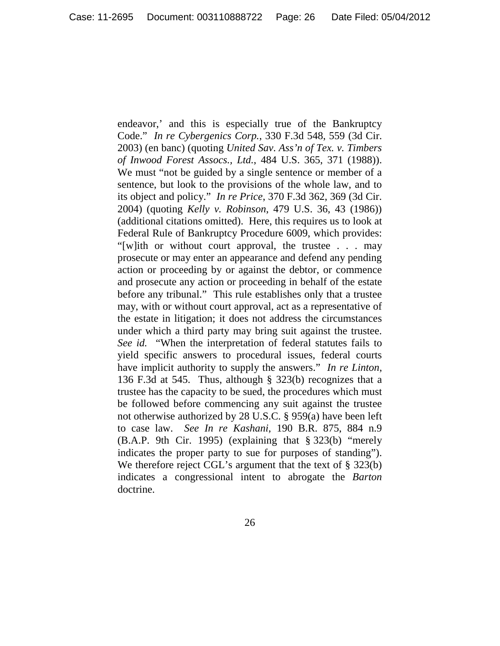endeavor,' and this is especially true of the Bankruptcy Code." *In re Cybergenics Corp.*, 330 F.3d 548, 559 (3d Cir. 2003) (en banc) (quoting *United Sav. Ass'n of Tex. v. Timbers of Inwood Forest Assocs., Ltd.*, 484 U.S. 365, 371 (1988)). We must "not be guided by a single sentence or member of a sentence, but look to the provisions of the whole law, and to its object and policy." *In re Price*, 370 F.3d 362, 369 (3d Cir. 2004) (quoting *Kelly v. Robinson*, 479 U.S. 36, 43 (1986)) (additional citations omitted). Here, this requires us to look at Federal Rule of Bankruptcy Procedure 6009, which provides: "[w]ith or without court approval, the trustee . . . may prosecute or may enter an appearance and defend any pending action or proceeding by or against the debtor, or commence and prosecute any action or proceeding in behalf of the estate before any tribunal." This rule establishes only that a trustee may, with or without court approval, act as a representative of the estate in litigation; it does not address the circumstances under which a third party may bring suit against the trustee. *See id.* "When the interpretation of federal statutes fails to yield specific answers to procedural issues, federal courts have implicit authority to supply the answers." *In re Linton*, 136 F.3d at 545. Thus, although § 323(b) recognizes that a trustee has the capacity to be sued, the procedures which must be followed before commencing any suit against the trustee not otherwise authorized by 28 U.S.C. § 959(a) have been left to case law. *See In re Kashani*, 190 B.R. 875, 884 n.9 (B.A.P. 9th Cir. 1995) (explaining that § 323(b) "merely indicates the proper party to sue for purposes of standing"). We therefore reject CGL's argument that the text of § 323(b) indicates a congressional intent to abrogate the *Barton* doctrine.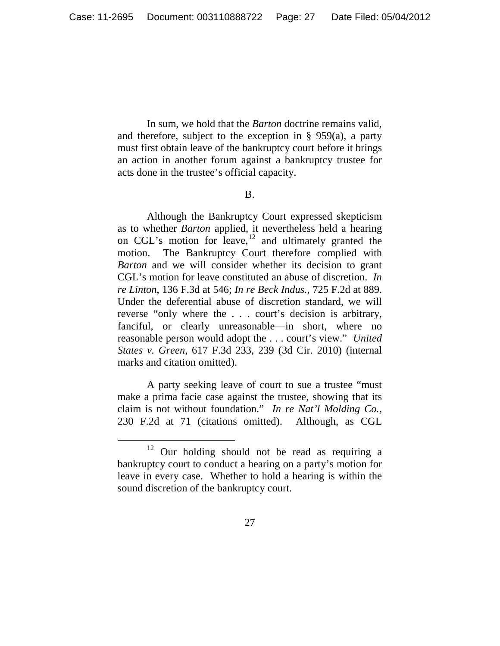In sum, we hold that the *Barton* doctrine remains valid, and therefore, subject to the exception in § 959(a), a party must first obtain leave of the bankruptcy court before it brings an action in another forum against a bankruptcy trustee for acts done in the trustee's official capacity.

#### B.

Although the Bankruptcy Court expressed skepticism as to whether *Barton* applied, it nevertheless held a hearing on CGL's motion for  $leave$ ,  $12$  and ultimately granted the motion. The Bankruptcy Court therefore complied with *Barton* and we will consider whether its decision to grant CGL's motion for leave constituted an abuse of discretion. *In re Linton*, 136 F.3d at 546; *In re Beck Indus.*, 725 F.2d at 889. Under the deferential abuse of discretion standard, we will reverse "only where the . . . court's decision is arbitrary, fanciful, or clearly unreasonable—in short, where no reasonable person would adopt the . . . court's view." *United States v. Green*, 617 F.3d 233, 239 (3d Cir. 2010) (internal marks and citation omitted).

A party seeking leave of court to sue a trustee "must make a prima facie case against the trustee, showing that its claim is not without foundation." *In re Nat'l Molding Co.*, 230 F.2d at 71 (citations omitted). Although, as CGL

<span id="page-26-0"></span> $12$  Our holding should not be read as requiring a bankruptcy court to conduct a hearing on a party's motion for leave in every case. Whether to hold a hearing is within the sound discretion of the bankruptcy court.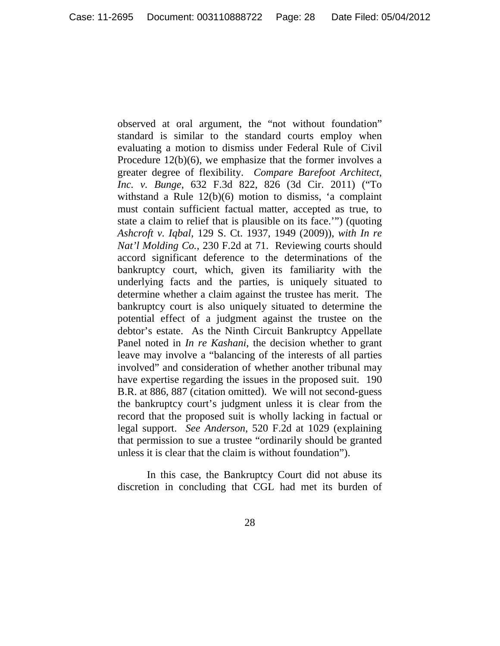observed at oral argument, the "not without foundation" standard is similar to the standard courts employ when evaluating a motion to dismiss under Federal Rule of Civil Procedure 12(b)(6), we emphasize that the former involves a greater degree of flexibility. *Compare Barefoot Architect, Inc. v. Bunge*, 632 F.3d 822, 826 (3d Cir. 2011) ("To withstand a Rule 12(b)(6) motion to dismiss, 'a complaint must contain sufficient factual matter, accepted as true, to state a claim to relief that is plausible on its face.'") (quoting *Ashcroft v. Iqbal*, 129 S. Ct. 1937, 1949 (2009)), *with In re Nat'l Molding Co.*, 230 F.2d at 71. Reviewing courts should accord significant deference to the determinations of the bankruptcy court, which, given its familiarity with the underlying facts and the parties, is uniquely situated to determine whether a claim against the trustee has merit. The bankruptcy court is also uniquely situated to determine the potential effect of a judgment against the trustee on the debtor's estate. As the Ninth Circuit Bankruptcy Appellate Panel noted in *In re Kashani*, the decision whether to grant leave may involve a "balancing of the interests of all parties involved" and consideration of whether another tribunal may have expertise regarding the issues in the proposed suit. 190 B.R. at 886, 887 (citation omitted). We will not second-guess the bankruptcy court's judgment unless it is clear from the record that the proposed suit is wholly lacking in factual or legal support. *See Anderson*, 520 F.2d at 1029 (explaining that permission to sue a trustee "ordinarily should be granted unless it is clear that the claim is without foundation").

In this case, the Bankruptcy Court did not abuse its discretion in concluding that CGL had met its burden of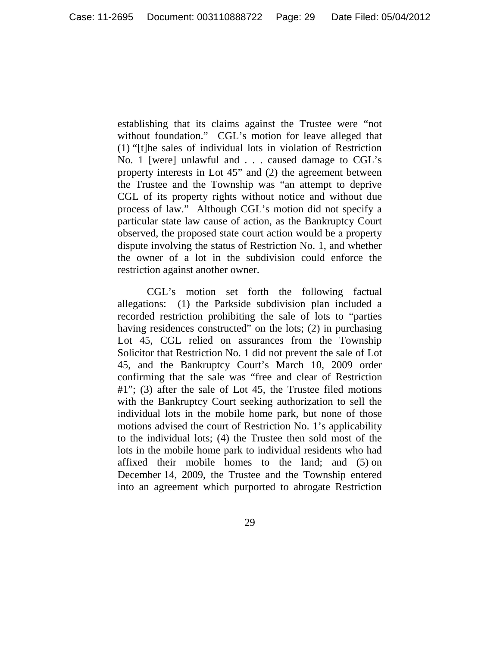establishing that its claims against the Trustee were "not without foundation." CGL's motion for leave alleged that (1) "[t]he sales of individual lots in violation of Restriction No. 1 [were] unlawful and . . . caused damage to CGL's property interests in Lot 45" and (2) the agreement between the Trustee and the Township was "an attempt to deprive CGL of its property rights without notice and without due process of law." Although CGL's motion did not specify a particular state law cause of action, as the Bankruptcy Court observed, the proposed state court action would be a property dispute involving the status of Restriction No. 1, and whether the owner of a lot in the subdivision could enforce the restriction against another owner.

CGL's motion set forth the following factual allegations: (1) the Parkside subdivision plan included a recorded restriction prohibiting the sale of lots to "parties having residences constructed" on the lots; (2) in purchasing Lot 45, CGL relied on assurances from the Township Solicitor that Restriction No. 1 did not prevent the sale of Lot 45, and the Bankruptcy Court's March 10, 2009 order confirming that the sale was "free and clear of Restriction #1"; (3) after the sale of Lot 45, the Trustee filed motions with the Bankruptcy Court seeking authorization to sell the individual lots in the mobile home park, but none of those motions advised the court of Restriction No. 1's applicability to the individual lots; (4) the Trustee then sold most of the lots in the mobile home park to individual residents who had affixed their mobile homes to the land; and (5) on December 14, 2009, the Trustee and the Township entered into an agreement which purported to abrogate Restriction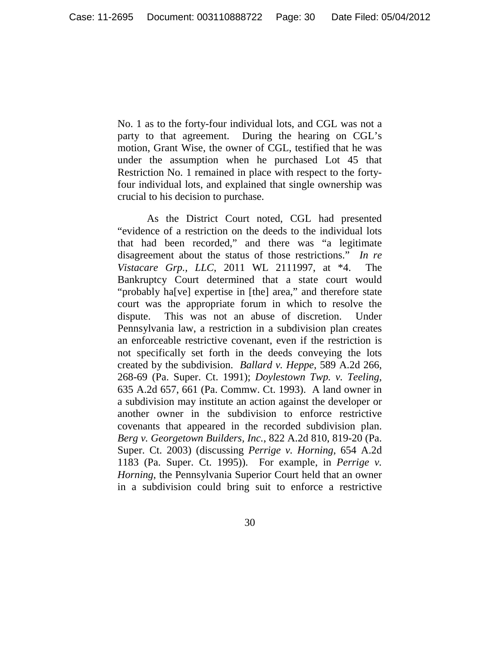No. 1 as to the forty-four individual lots, and CGL was not a party to that agreement. During the hearing on CGL's motion, Grant Wise, the owner of CGL, testified that he was under the assumption when he purchased Lot 45 that Restriction No. 1 remained in place with respect to the fortyfour individual lots, and explained that single ownership was crucial to his decision to purchase.

As the District Court noted, CGL had presented "evidence of a restriction on the deeds to the individual lots that had been recorded," and there was "a legitimate disagreement about the status of those restrictions." *In re Vistacare Grp., LLC*, 2011 WL 2111997, at \*4. The Bankruptcy Court determined that a state court would "probably ha[ve] expertise in [the] area," and therefore state court was the appropriate forum in which to resolve the dispute. This was not an abuse of discretion. Under Pennsylvania law, a restriction in a subdivision plan creates an enforceable restrictive covenant, even if the restriction is not specifically set forth in the deeds conveying the lots created by the subdivision. *Ballard v. Heppe*, 589 A.2d 266, 268-69 (Pa. Super. Ct. 1991); *Doylestown Twp. v. Teeling*, 635 A.2d 657, 661 (Pa. Commw. Ct. 1993). A land owner in a subdivision may institute an action against the developer or another owner in the subdivision to enforce restrictive covenants that appeared in the recorded subdivision plan. *Berg v. Georgetown Builders, Inc.*, 822 A.2d 810, 819-20 (Pa. Super. Ct. 2003) (discussing *Perrige v. Horning*, 654 A.2d 1183 (Pa. Super. Ct. 1995)). For example, in *Perrige v. Horning*, the Pennsylvania Superior Court held that an owner in a subdivision could bring suit to enforce a restrictive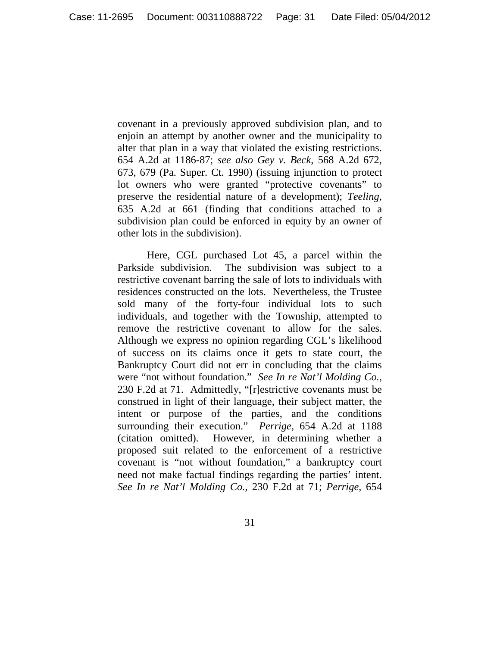covenant in a previously approved subdivision plan, and to enjoin an attempt by another owner and the municipality to alter that plan in a way that violated the existing restrictions. 654 A.2d at 1186-87; *see also Gey v. Beck*, 568 A.2d 672, 673, 679 (Pa. Super. Ct. 1990) (issuing injunction to protect lot owners who were granted "protective covenants" to preserve the residential nature of a development); *Teeling*, 635 A.2d at 661 (finding that conditions attached to a subdivision plan could be enforced in equity by an owner of other lots in the subdivision).

Here, CGL purchased Lot 45, a parcel within the Parkside subdivision. The subdivision was subject to a restrictive covenant barring the sale of lots to individuals with residences constructed on the lots. Nevertheless, the Trustee sold many of the forty-four individual lots to such individuals, and together with the Township, attempted to remove the restrictive covenant to allow for the sales. Although we express no opinion regarding CGL's likelihood of success on its claims once it gets to state court, the Bankruptcy Court did not err in concluding that the claims were "not without foundation." *See In re Nat'l Molding Co.*, 230 F.2d at 71. Admittedly, "[r]estrictive covenants must be construed in light of their language, their subject matter, the intent or purpose of the parties, and the conditions surrounding their execution." *Perrige*, 654 A.2d at 1188 (citation omitted). However, in determining whether a proposed suit related to the enforcement of a restrictive covenant is "not without foundation," a bankruptcy court need not make factual findings regarding the parties' intent. *See In re Nat'l Molding Co.*, 230 F.2d at 71; *Perrige*, 654

31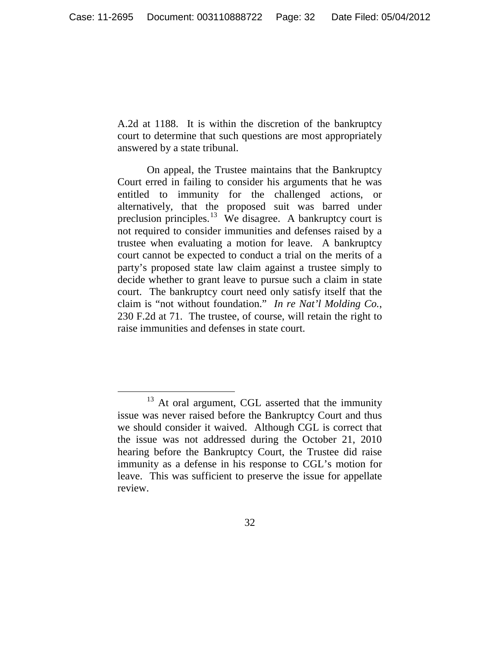A.2d at 1188. It is within the discretion of the bankruptcy court to determine that such questions are most appropriately answered by a state tribunal.

On appeal, the Trustee maintains that the Bankruptcy Court erred in failing to consider his arguments that he was entitled to immunity for the challenged actions, or alternatively, that the proposed suit was barred under preclusion principles.<sup>[13](#page-31-0)</sup> We disagree. A bankruptcy court is not required to consider immunities and defenses raised by a trustee when evaluating a motion for leave. A bankruptcy court cannot be expected to conduct a trial on the merits of a party's proposed state law claim against a trustee simply to decide whether to grant leave to pursue such a claim in state court. The bankruptcy court need only satisfy itself that the claim is "not without foundation." *In re Nat'l Molding Co.*, 230 F.2d at 71. The trustee, of course, will retain the right to raise immunities and defenses in state court.

<span id="page-31-0"></span> $13$  At oral argument, CGL asserted that the immunity issue was never raised before the Bankruptcy Court and thus we should consider it waived. Although CGL is correct that the issue was not addressed during the October 21, 2010 hearing before the Bankruptcy Court, the Trustee did raise immunity as a defense in his response to CGL's motion for leave. This was sufficient to preserve the issue for appellate review.